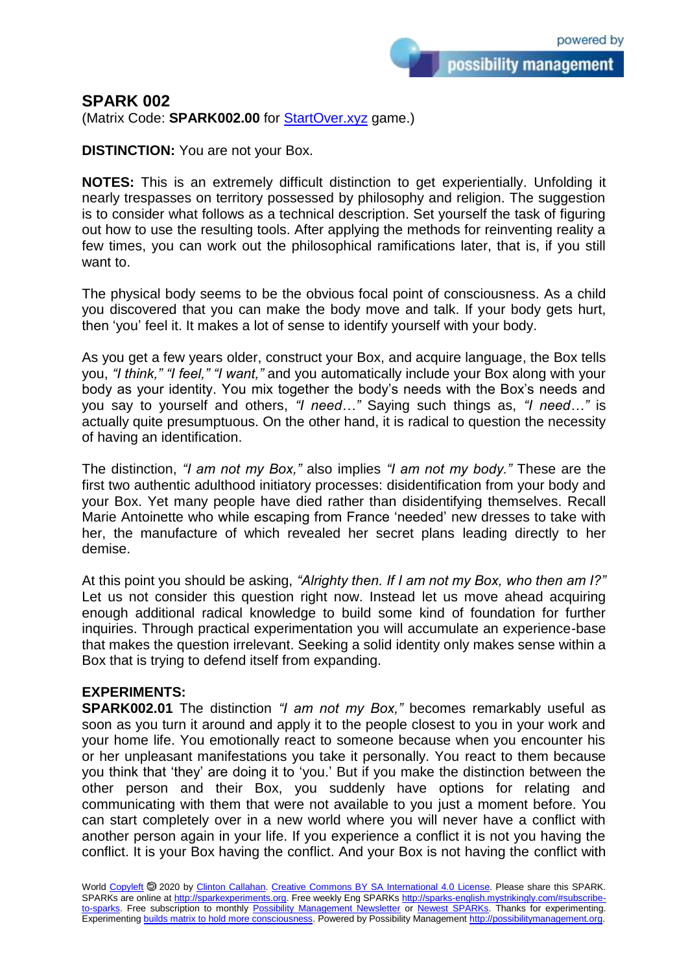## **SPARK 002**

(Matrix Code: **SPARK002.00** for [StartOver.xyz](https://startoverxyz.mystrikingly.com/) game.)

**DISTINCTION:** You are not your Box.

**NOTES:** This is an extremely difficult distinction to get experientially. Unfolding it nearly trespasses on territory possessed by philosophy and religion. The suggestion is to consider what follows as a technical description. Set yourself the task of figuring out how to use the resulting tools. After applying the methods for reinventing reality a few times, you can work out the philosophical ramifications later, that is, if you still want to.

The physical body seems to be the obvious focal point of consciousness. As a child you discovered that you can make the body move and talk. If your body gets hurt, then 'you' feel it. It makes a lot of sense to identify yourself with your body.

As you get a few years older, construct your Box, and acquire language, the Box tells you, *"I think," "I feel," "I want,"* and you automatically include your Box along with your body as your identity. You mix together the body's needs with the Box's needs and you say to yourself and others, *"I need…"* Saying such things as, *"I need…"* is actually quite presumptuous. On the other hand, it is radical to question the necessity of having an identification.

The distinction, *"I am not my Box,"* also implies *"I am not my body."* These are the first two authentic adulthood initiatory processes: disidentification from your body and your Box. Yet many people have died rather than disidentifying themselves. Recall Marie Antoinette who while escaping from France 'needed' new dresses to take with her, the manufacture of which revealed her secret plans leading directly to her demise.

At this point you should be asking, *"Alrighty then. If I am not my Box, who then am I?"* Let us not consider this question right now. Instead let us move ahead acquiring enough additional radical knowledge to build some kind of foundation for further inquiries. Through practical experimentation you will accumulate an experience-base that makes the question irrelevant. Seeking a solid identity only makes sense within a Box that is trying to defend itself from expanding.

## **EXPERIMENTS:**

**SPARK002.01** The distinction *"I am not my Box,"* becomes remarkably useful as soon as you turn it around and apply it to the people closest to you in your work and your home life. You emotionally react to someone because when you encounter his or her unpleasant manifestations you take it personally. You react to them because you think that 'they' are doing it to 'you.' But if you make the distinction between the other person and their Box, you suddenly have options for relating and communicating with them that were not available to you just a moment before. You can start completely over in a new world where you will never have a conflict with another person again in your life. If you experience a conflict it is not you having the conflict. It is your Box having the conflict. And your Box is not having the conflict with